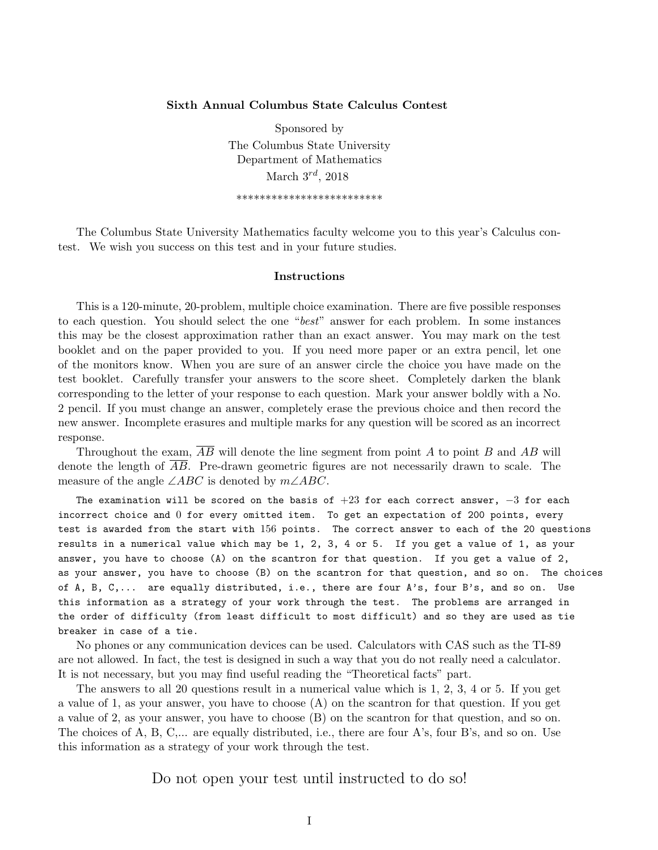## Sixth Annual Columbus State Calculus Contest

Sponsored by The Columbus State University Department of Mathematics March  $3^{rd}$ , 2018 \*\*\*\*\*\*\*\*\*\*\*\*\*\*\*\*\*\*\*\*\*\*\*\*\*

The Columbus State University Mathematics faculty welcome you to this year's Calculus contest. We wish you success on this test and in your future studies.

## Instructions

This is a 120-minute, 20-problem, multiple choice examination. There are five possible responses to each question. You should select the one "best" answer for each problem. In some instances this may be the closest approximation rather than an exact answer. You may mark on the test booklet and on the paper provided to you. If you need more paper or an extra pencil, let one of the monitors know. When you are sure of an answer circle the choice you have made on the test booklet. Carefully transfer your answers to the score sheet. Completely darken the blank corresponding to the letter of your response to each question. Mark your answer boldly with a No. 2 pencil. If you must change an answer, completely erase the previous choice and then record the new answer. Incomplete erasures and multiple marks for any question will be scored as an incorrect response.

Throughout the exam,  $\overline{AB}$  will denote the line segment from point A to point B and AB will denote the length of  $\overline{AB}$ . Pre-drawn geometric figures are not necessarily drawn to scale. The measure of the angle  $\angle ABC$  is denoted by  $m\angle ABC$ .

The examination will be scored on the basis of  $+23$  for each correct answer,  $-3$  for each incorrect choice and 0 for every omitted item. To get an expectation of 200 points, every test is awarded from the start with 156 points. The correct answer to each of the 20 questions results in a numerical value which may be 1, 2, 3, 4 or 5. If you get a value of 1, as your answer, you have to choose (A) on the scantron for that question. If you get a value of 2, as your answer, you have to choose (B) on the scantron for that question, and so on. The choices of A, B, C,... are equally distributed, i.e., there are four A's, four B's, and so on. Use this information as a strategy of your work through the test. The problems are arranged in the order of difficulty (from least difficult to most difficult) and so they are used as tie breaker in case of a tie.

No phones or any communication devices can be used. Calculators with CAS such as the TI-89 are not allowed. In fact, the test is designed in such a way that you do not really need a calculator. It is not necessary, but you may find useful reading the "Theoretical facts" part.

The answers to all 20 questions result in a numerical value which is 1, 2, 3, 4 or 5. If you get a value of 1, as your answer, you have to choose (A) on the scantron for that question. If you get a value of 2, as your answer, you have to choose (B) on the scantron for that question, and so on. The choices of A, B, C,... are equally distributed, i.e., there are four A's, four B's, and so on. Use this information as a strategy of your work through the test.

Do not open your test until instructed to do so!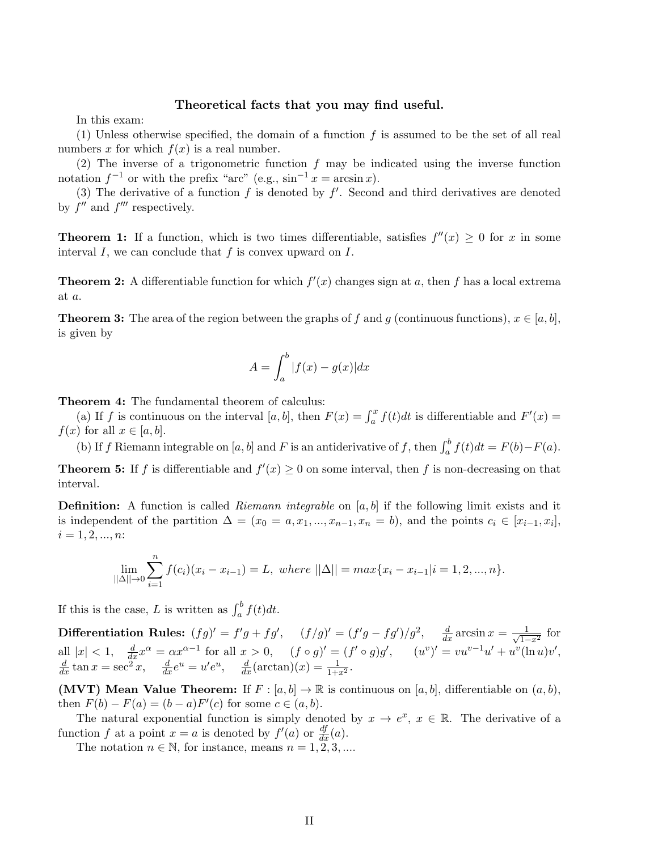## Theoretical facts that you may find useful.

In this exam:

(1) Unless otherwise specified, the domain of a function  $f$  is assumed to be the set of all real numbers x for which  $f(x)$  is a real number.

(2) The inverse of a trigonometric function  $f$  may be indicated using the inverse function notation  $f^{-1}$  or with the prefix "arc" (e.g.,  $\sin^{-1} x = \arcsin x$ ).

(3) The derivative of a function  $f$  is denoted by  $f'$ . Second and third derivatives are denoted by  $f''$  and  $f'''$  respectively.

**Theorem 1:** If a function, which is two times differentiable, satisfies  $f''(x) \geq 0$  for x in some interval  $I$ , we can conclude that  $f$  is convex upward on  $I$ .

**Theorem 2:** A differentiable function for which  $f'(x)$  changes sign at a, then f has a local extrema at a.

**Theorem 3:** The area of the region between the graphs of f and g (continuous functions),  $x \in [a, b]$ , is given by

$$
A = \int_{a}^{b} |f(x) - g(x)| dx
$$

Theorem 4: The fundamental theorem of calculus:

(a) If f is continuous on the interval [a, b], then  $F(x) = \int_a^x f(t)dt$  is differentiable and  $F'(x) =$  $f(x)$  for all  $x \in [a, b]$ .

(b) If f Riemann integrable on [a, b] and F is an antiderivative of f, then  $\int_a^b f(t)dt = F(b) - F(a)$ .

**Theorem 5:** If f is differentiable and  $f'(x) \geq 0$  on some interval, then f is non-decreasing on that interval.

**Definition:** A function is called *Riemann integrable* on  $[a, b]$  if the following limit exists and it is independent of the partition  $\Delta = (x_0 = a, x_1, ..., x_{n-1}, x_n = b)$ , and the points  $c_i \in [x_{i-1}, x_i]$ ,  $i = 1, 2, ..., n$ :

$$
\lim_{||\Delta|| \to 0} \sum_{i=1}^{n} f(c_i)(x_i - x_{i-1}) = L, \text{ where } ||\Delta|| = \max\{x_i - x_{i-1}|i = 1, 2, ..., n\}.
$$

If this is the case, L is written as  $\int_a^b f(t)dt$ .

**Differentiation Rules:**  $(fg)' = f'g + fg'$ ,  $(f/g)' = (f'g - fg')/g^2$ ,  $\frac{d}{dx} \arcsin x = \frac{1}{\sqrt{1-\frac{1}{\sqrt{1-\frac{1}{n}}}}}$  $\frac{1}{1-x^2}$  for all  $|x| < 1$ ,  $\frac{d}{dx}x^{\alpha} = \alpha x^{\alpha-1}$  for all  $x > 0$ ,  $(f \circ g)' = (f' \circ g)g'$ ,  $(u'')' = vu^{v-1}u' + u^{v}(\ln u)v'$ ,  $\frac{d}{dx} \tan x = \sec^2 x$ ,  $\frac{d}{dx} e^u = u' e^u$ ,  $\frac{d}{dx} (\arctan)(x) = \frac{1}{1+x^2}$ .

(MVT) Mean Value Theorem: If  $F : [a, b] \to \mathbb{R}$  is continuous on  $[a, b]$ , differentiable on  $(a, b)$ , then  $F(b) - F(a) = (b - a)F'(c)$  for some  $c \in (a, b)$ .

The natural exponential function is simply denoted by  $x \to e^x$ ,  $x \in \mathbb{R}$ . The derivative of a function f at a point  $x = a$  is denoted by  $f'(a)$  or  $\frac{df}{dx}(a)$ .

The notation  $n \in \mathbb{N}$ , for instance, means  $n = 1, 2, 3, ...$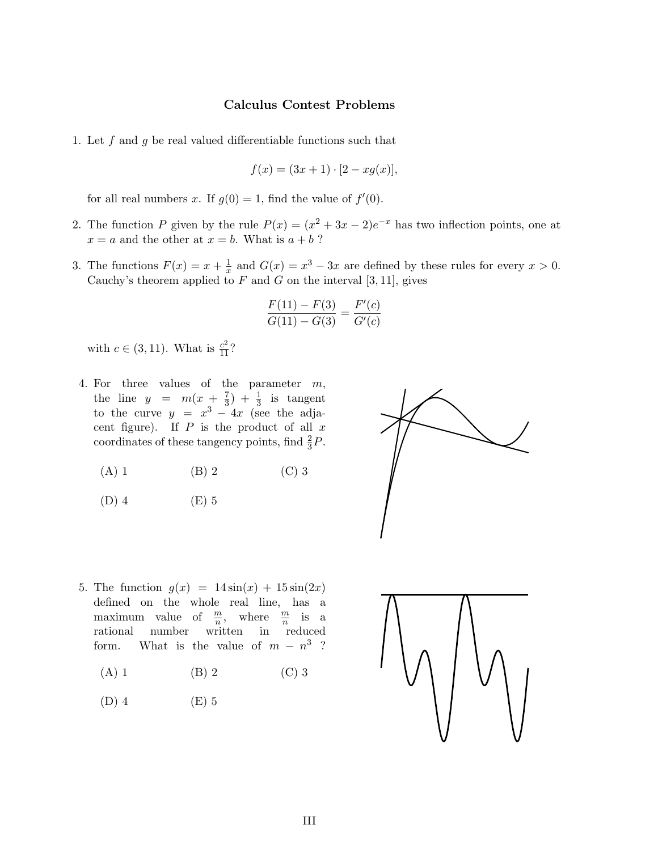## Calculus Contest Problems

1. Let  $f$  and  $g$  be real valued differentiable functions such that

$$
f(x) = (3x + 1) \cdot [2 - xg(x)],
$$

for all real numbers x. If  $g(0) = 1$ , find the value of  $f'(0)$ .

- 2. The function P given by the rule  $P(x) = (x^2 + 3x 2)e^{-x}$  has two inflection points, one at  $x = a$  and the other at  $x = b$ . What is  $a + b$ ?
- 3. The functions  $F(x) = x + \frac{1}{x}$  $\frac{1}{x}$  and  $G(x) = x^3 - 3x$  are defined by these rules for every  $x > 0$ . Cauchy's theorem applied to  $F$  and  $G$  on the interval [3, 11], gives

$$
\frac{F(11) - F(3)}{G(11) - G(3)} = \frac{F'(c)}{G'(c)}
$$

with  $c \in (3, 11)$ . What is  $\frac{c^2}{11}$ ?

- 4. For three values of the parameter m, the line  $y = m(x + \frac{7}{3})$  $(\frac{7}{3}) + \frac{1}{3}$  is tangent to the curve  $y = x^3 - 4x$  (see the adjacent figure). If  $P$  is the product of all  $x$ coordinates of these tangency points, find  $\frac{2}{3}P$ .
	- (A) 1 (B) 2 (C) 3

$$
(D) 4 \t\t (E) 5
$$



- 5. The function  $g(x) = 14 \sin(x) + 15 \sin(2x)$ defined on the whole real line, has a maximum value of  $\frac{m}{n}$ , where  $\frac{m}{n}$  is a rational number written in reduced form. What is the value of  $m - n^3$ ?
	- (A) 1 (B) 2 (C) 3
	- $(D)$  4  $(E)$  5

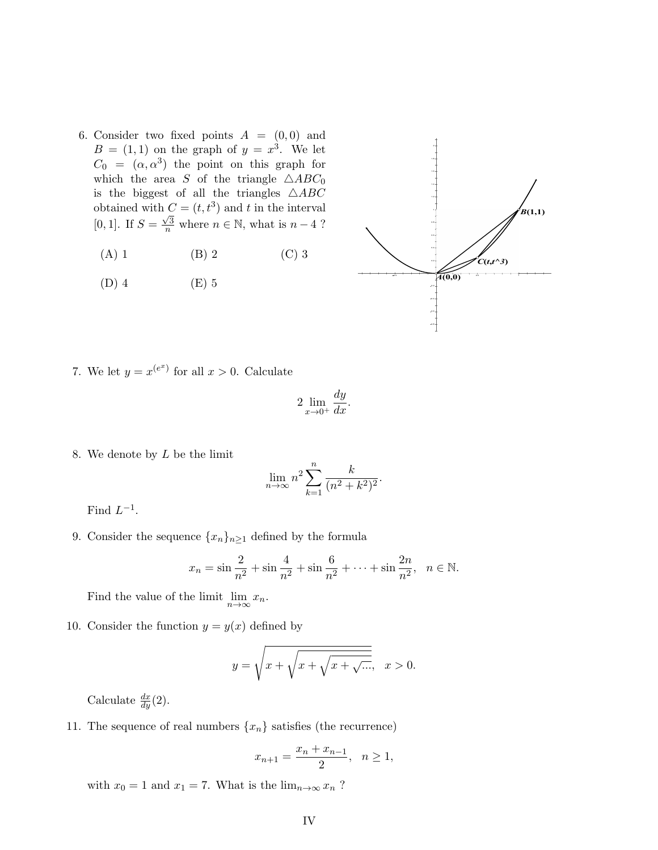- 6. Consider two fixed points  $A = (0,0)$  and  $B = (1, 1)$  on the graph of  $y = x<sup>3</sup>$ . We let  $C_0 = (\alpha, \alpha^3)$  the point on this graph for which the area S of the triangle  $\triangle ABC_0$ is the biggest of all the triangles  $\triangle ABC$ obtained with  $C = (t, t^3)$  and t in the interval  $[0, 1]$ . If  $S =$  $\frac{\sqrt{3}}{n}$  where  $n \in \mathbb{N}$ , what is  $n-4$ ?
	- (A) 1 (B) 2 (C) 3
	- (D) 4 (E) 5



7. We let  $y = x^{(e^x)}$  for all  $x > 0$ . Calculate

$$
2\lim_{x\to 0^+}\frac{dy}{dx}.
$$

8. We denote by  $L$  be the limit

$$
\lim_{n \to \infty} n^2 \sum_{k=1}^n \frac{k}{(n^2 + k^2)^2}.
$$

Find  $L^{-1}$ .

9. Consider the sequence  $\{x_n\}_{n\geq 1}$  defined by the formula

$$
x_n = \sin \frac{2}{n^2} + \sin \frac{4}{n^2} + \sin \frac{6}{n^2} + \dots + \sin \frac{2n}{n^2}, \quad n \in \mathbb{N}.
$$

Find the value of the limit  $\lim_{n\to\infty}x_n$ .

10. Consider the function  $y = y(x)$  defined by

$$
y = \sqrt{x + \sqrt{x + \sqrt{x + \sqrt{\ldots}}}}, \quad x > 0.
$$

Calculate  $\frac{dx}{dy}(2)$ .

11. The sequence of real numbers  $\{x_n\}$  satisfies (the recurrence)

$$
x_{n+1} = \frac{x_n + x_{n-1}}{2}, \quad n \ge 1,
$$

with  $x_0 = 1$  and  $x_1 = 7$ . What is the  $\lim_{n \to \infty} x_n$ ?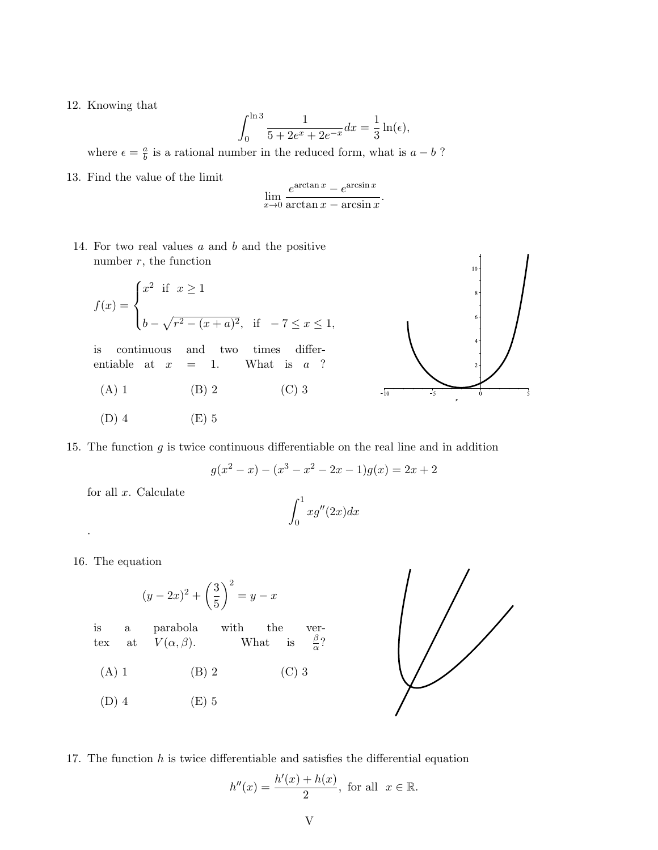12. Knowing that

$$
\int_0^{\ln 3} \frac{1}{5 + 2e^x + 2e^{-x}} dx = \frac{1}{3} \ln(\epsilon),
$$

where  $\epsilon = \frac{a}{b}$  $\frac{a}{b}$  is a rational number in the reduced form, what is  $a - b$ ?

13. Find the value of the limit

$$
\lim_{x \to 0} \frac{e^{\arctan x} - e^{\arcsin x}}{\arctan x - \arcsin x}
$$

.

14. For two real values  $a$  and  $b$  and the positive number  $r$ , the function

$$
f(x) = \begin{cases} x^2 & \text{if } x \ge 1 \\ b - \sqrt{r^2 - (x + a)^2}, & \text{if } -7 \le x \le 1, \end{cases}
$$

is continuous and two times differentiable at  $x = 1$ . What is  $a$  ?

(A) 1 (B) 2 (C) 3

$$
(D) 4 \t\t (E) 5
$$



$$
g(x^{2} - x) - (x^{3} - x^{2} - 2x - 1)g(x) = 2x + 2
$$

for all  $x$ . Calculate

$$
\int_0^1 x g''(2x) dx
$$

16. The equation

.

$$
(y - 2x)^2 + \left(\frac{3}{5}\right)^2 = y - x
$$

is a parabola with the vertex at  $V(\alpha, \beta)$ . What is  $\frac{\beta}{\alpha}$ ? (A) 1 (B) 2 (C) 3

(D) 4 (E) 5



17. The function  $h$  is twice differentiable and satisfies the differential equation

$$
h''(x) = \frac{h'(x) + h(x)}{2}, \text{ for all } x \in \mathbb{R}.
$$